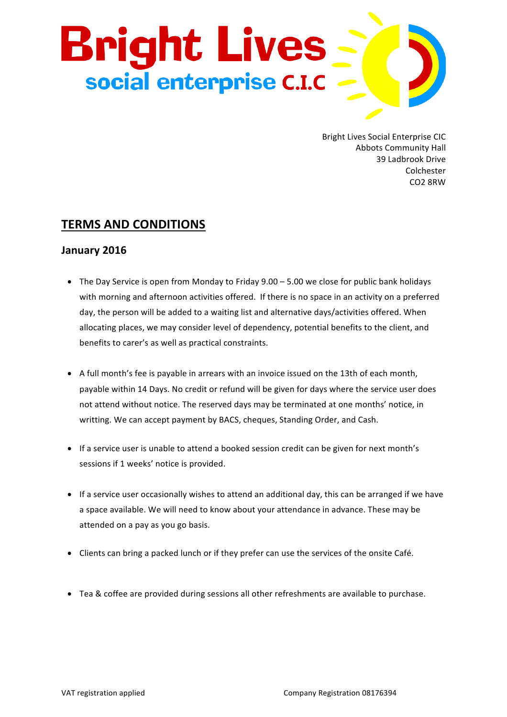

Bright Lives Social Enterprise CIC **Abbots Community Hall** 39 Ladbrook Drive Colchester CO2 8RW

## **TERMS AND CONDITIONS**

## **January 2016**

- The Day Service is open from Monday to Friday  $9.00 5.00$  we close for public bank holidays with morning and afternoon activities offered. If there is no space in an activity on a preferred day, the person will be added to a waiting list and alternative days/activities offered. When allocating places, we may consider level of dependency, potential benefits to the client, and benefits to carer's as well as practical constraints.
- A full month's fee is payable in arrears with an invoice issued on the 13th of each month, payable within 14 Days. No credit or refund will be given for days where the service user does not attend without notice. The reserved days may be terminated at one months' notice, in writting. We can accept payment by BACS, cheques, Standing Order, and Cash.
- If a service user is unable to attend a booked session credit can be given for next month's sessions if 1 weeks' notice is provided.
- If a service user occasionally wishes to attend an additional day, this can be arranged if we have a space available. We will need to know about your attendance in advance. These may be attended on a pay as you go basis.
- Clients can bring a packed lunch or if they prefer can use the services of the onsite Café.
- Tea & coffee are provided during sessions all other refreshments are available to purchase.